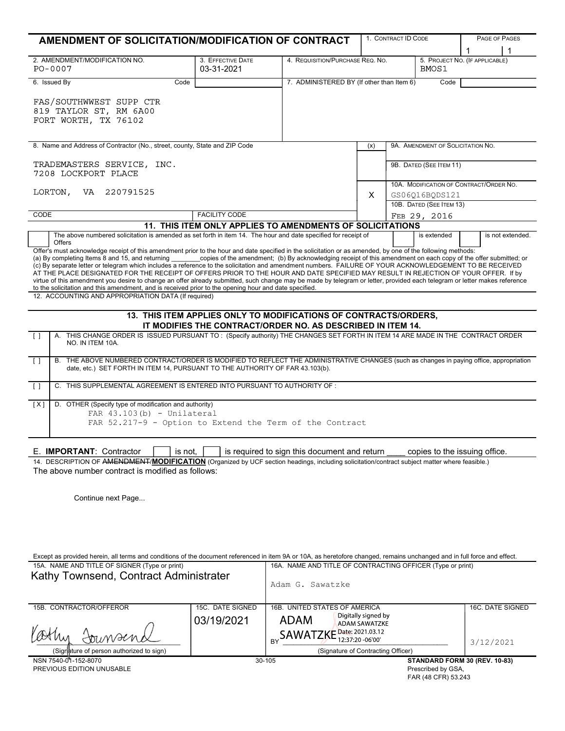| AMENDMENT OF SOLICITATION/MODIFICATION OF CONTRACT                                                                                                                                                                                                                                                                                                                                                                                                                                                                                                                                                                                                                                                                                                                                                                                                                                                                                                                                                                                                                                                                                                                                                                                                                                                                                                                                                                                                                                                                                                                                                                    |                                                                                   |                                                                 | 1. CONTRACT ID CODE                                                         |              |                                   | PAGE OF PAGES                 |
|-----------------------------------------------------------------------------------------------------------------------------------------------------------------------------------------------------------------------------------------------------------------------------------------------------------------------------------------------------------------------------------------------------------------------------------------------------------------------------------------------------------------------------------------------------------------------------------------------------------------------------------------------------------------------------------------------------------------------------------------------------------------------------------------------------------------------------------------------------------------------------------------------------------------------------------------------------------------------------------------------------------------------------------------------------------------------------------------------------------------------------------------------------------------------------------------------------------------------------------------------------------------------------------------------------------------------------------------------------------------------------------------------------------------------------------------------------------------------------------------------------------------------------------------------------------------------------------------------------------------------|-----------------------------------------------------------------------------------|-----------------------------------------------------------------|-----------------------------------------------------------------------------|--------------|-----------------------------------|-------------------------------|
|                                                                                                                                                                                                                                                                                                                                                                                                                                                                                                                                                                                                                                                                                                                                                                                                                                                                                                                                                                                                                                                                                                                                                                                                                                                                                                                                                                                                                                                                                                                                                                                                                       |                                                                                   |                                                                 |                                                                             |              |                                   |                               |
| 2. AMENDMENT/MODIFICATION NO.<br>PO-0007                                                                                                                                                                                                                                                                                                                                                                                                                                                                                                                                                                                                                                                                                                                                                                                                                                                                                                                                                                                                                                                                                                                                                                                                                                                                                                                                                                                                                                                                                                                                                                              | 3. EFFECTIVE DATE<br>03-31-2021                                                   |                                                                 | 4. REQUISITION/PURCHASE REQ. NO.<br>5. PROJECT NO. (IF APPLICABLE)<br>BMOS1 |              |                                   |                               |
| 6. Issued By<br>Code                                                                                                                                                                                                                                                                                                                                                                                                                                                                                                                                                                                                                                                                                                                                                                                                                                                                                                                                                                                                                                                                                                                                                                                                                                                                                                                                                                                                                                                                                                                                                                                                  |                                                                                   | 7. ADMINISTERED BY (If other than Item 6)                       |                                                                             |              | Code                              |                               |
| FAS/SOUTHWWEST SUPP CTR<br>819 TAYLOR ST, RM 6A00<br>FORT WORTH, TX 76102                                                                                                                                                                                                                                                                                                                                                                                                                                                                                                                                                                                                                                                                                                                                                                                                                                                                                                                                                                                                                                                                                                                                                                                                                                                                                                                                                                                                                                                                                                                                             |                                                                                   |                                                                 |                                                                             |              |                                   |                               |
| 8. Name and Address of Contractor (No., street, county, State and ZIP Code                                                                                                                                                                                                                                                                                                                                                                                                                                                                                                                                                                                                                                                                                                                                                                                                                                                                                                                                                                                                                                                                                                                                                                                                                                                                                                                                                                                                                                                                                                                                            |                                                                                   |                                                                 | (x)                                                                         |              | 9A. AMENDMENT OF SOLICITATION NO. |                               |
| TRADEMASTERS SERVICE, INC.<br>7208 LOCKPORT PLACE                                                                                                                                                                                                                                                                                                                                                                                                                                                                                                                                                                                                                                                                                                                                                                                                                                                                                                                                                                                                                                                                                                                                                                                                                                                                                                                                                                                                                                                                                                                                                                     |                                                                                   |                                                                 |                                                                             |              | 9B. DATED (SEE ITEM 11)           |                               |
| LORTON,<br>VA 220791525                                                                                                                                                                                                                                                                                                                                                                                                                                                                                                                                                                                                                                                                                                                                                                                                                                                                                                                                                                                                                                                                                                                                                                                                                                                                                                                                                                                                                                                                                                                                                                                               |                                                                                   | 10A. MODIFICATION OF CONTRACT/ORDER NO.<br>X.<br>GS06Q16BQDS121 |                                                                             |              |                                   |                               |
| CODE                                                                                                                                                                                                                                                                                                                                                                                                                                                                                                                                                                                                                                                                                                                                                                                                                                                                                                                                                                                                                                                                                                                                                                                                                                                                                                                                                                                                                                                                                                                                                                                                                  |                                                                                   |                                                                 |                                                                             |              | 10B. DATED (SEE ITEM 13)          |                               |
|                                                                                                                                                                                                                                                                                                                                                                                                                                                                                                                                                                                                                                                                                                                                                                                                                                                                                                                                                                                                                                                                                                                                                                                                                                                                                                                                                                                                                                                                                                                                                                                                                       | <b>FACILITY CODE</b><br>11. THIS ITEM ONLY APPLIES TO AMENDMENTS OF SOLICITATIONS |                                                                 |                                                                             | FEB 29, 2016 |                                   |                               |
| The above numbered solicitation is amended as set forth in item 14. The hour and date specified for receipt of                                                                                                                                                                                                                                                                                                                                                                                                                                                                                                                                                                                                                                                                                                                                                                                                                                                                                                                                                                                                                                                                                                                                                                                                                                                                                                                                                                                                                                                                                                        |                                                                                   |                                                                 |                                                                             |              | is extended                       | is not extended.              |
| Offer's must acknowledge receipt of this amendment prior to the hour and date specified in the solicitation or as amended, by one of the following methods:<br>(a) By completing Items 8 and 15, and returning _______copies of the amendment; (b) By acknowledging receipt of this amendment on each copy of the offer submitted; or<br>(c) By separate letter or telegram which includes a ref<br>AT THE PLACE DESIGNATED FOR THE RECEIPT OF OFFERS PRIOR TO THE HOUR AND DATE SPECIFIED MAY RESULT IN REJECTION OF YOUR OFFER. If by<br>virtue of this amendment you desire to change an offer already submitted, such change may be made by telegram or letter, provided each telegram or letter makes reference<br>to the solicitation and this amendment, and is received prior to the opening hour and date specified.<br>12. ACCOUNTING AND APPROPRIATION DATA (If required)<br>13. THIS ITEM APPLIES ONLY TO MODIFICATIONS OF CONTRACTS/ORDERS,<br>IT MODIFIES THE CONTRACT/ORDER NO. AS DESCRIBED IN ITEM 14.<br>A. THIS CHANGE ORDER IS ISSUED PURSUANT TO: (Specify authority) THE CHANGES SET FORTH IN ITEM 14 ARE MADE IN THE CONTRACT ORDER<br>$\Box$<br>NO. IN ITEM 10A.<br>B. THE ABOVE NUMBERED CONTRACT/ORDER IS MODIFIED TO REFLECT THE ADMINISTRATIVE CHANGES (such as changes in paying office, appropriation<br>$\Box$<br>date, etc.) SET FORTH IN ITEM 14, PURSUANT TO THE AUTHORITY OF FAR 43.103(b).<br>C. THIS SUPPLEMENTAL AGREEMENT IS ENTERED INTO PURSUANT TO AUTHORITY OF :<br>$\Box$<br>D. OTHER (Specify type of modification and authority)<br>[X]<br>FAR $43.103(b)$ - Unilateral |                                                                                   |                                                                 |                                                                             |              |                                   |                               |
| FAR 52.217-9 - Option to Extend the Term of the Contract                                                                                                                                                                                                                                                                                                                                                                                                                                                                                                                                                                                                                                                                                                                                                                                                                                                                                                                                                                                                                                                                                                                                                                                                                                                                                                                                                                                                                                                                                                                                                              |                                                                                   |                                                                 |                                                                             |              |                                   |                               |
| E. IMPORTANT: Contractor<br>is not.                                                                                                                                                                                                                                                                                                                                                                                                                                                                                                                                                                                                                                                                                                                                                                                                                                                                                                                                                                                                                                                                                                                                                                                                                                                                                                                                                                                                                                                                                                                                                                                   |                                                                                   | is required to sign this document and return                    |                                                                             |              |                                   | copies to the issuing office. |
| 14. DESCRIPTION OF AMENDMENT/MODIFICATION (Organized by UCF section headings, including solicitation/contract subject matter where feasible.)<br>The above number contract is modified as follows:                                                                                                                                                                                                                                                                                                                                                                                                                                                                                                                                                                                                                                                                                                                                                                                                                                                                                                                                                                                                                                                                                                                                                                                                                                                                                                                                                                                                                    |                                                                                   |                                                                 |                                                                             |              |                                   |                               |
| Continue next Page                                                                                                                                                                                                                                                                                                                                                                                                                                                                                                                                                                                                                                                                                                                                                                                                                                                                                                                                                                                                                                                                                                                                                                                                                                                                                                                                                                                                                                                                                                                                                                                                    |                                                                                   |                                                                 |                                                                             |              |                                   |                               |
|                                                                                                                                                                                                                                                                                                                                                                                                                                                                                                                                                                                                                                                                                                                                                                                                                                                                                                                                                                                                                                                                                                                                                                                                                                                                                                                                                                                                                                                                                                                                                                                                                       |                                                                                   |                                                                 |                                                                             |              |                                   |                               |

| Except as provided herein, all terms and conditions of the document referenced in item 9A or 10A, as heretofore changed, remains unchanged and in full force and effect. |                  |                                                            |                               |  |  |  |  |
|--------------------------------------------------------------------------------------------------------------------------------------------------------------------------|------------------|------------------------------------------------------------|-------------------------------|--|--|--|--|
| 15A. NAME AND TITLE OF SIGNER (Type or print)                                                                                                                            |                  | 16A. NAME AND TITLE OF CONTRACTING OFFICER (Type or print) |                               |  |  |  |  |
| Kathy Townsend, Contract Administrater                                                                                                                                   |                  | Adam G. Sawatzke                                           |                               |  |  |  |  |
| 15B. CONTRACTOR/OFFEROR                                                                                                                                                  | 15C. DATE SIGNED | 16B. UNITED STATES OF AMERICA                              | 16C. DATE SIGNED              |  |  |  |  |
|                                                                                                                                                                          | 03/19/2021       | Digitally signed by<br><b>ADAM</b><br>ADAM SAWATZKE        |                               |  |  |  |  |
| Cothy<br>Jounsend                                                                                                                                                        |                  | SAWATZKE Date: 2021.03.12<br>12:37:20 -06'00'<br>BY        | 3/12/2021                     |  |  |  |  |
| (Signature of person authorized to sign)                                                                                                                                 |                  | (Signature of Contracting Officer)                         |                               |  |  |  |  |
| NSN 7540-01-152-8070                                                                                                                                                     |                  | 30-105                                                     | STANDARD FORM 30 (REV. 10-83) |  |  |  |  |
| PREVIOUS EDITION UNUSABLE                                                                                                                                                |                  |                                                            | Prescribed by GSA.            |  |  |  |  |